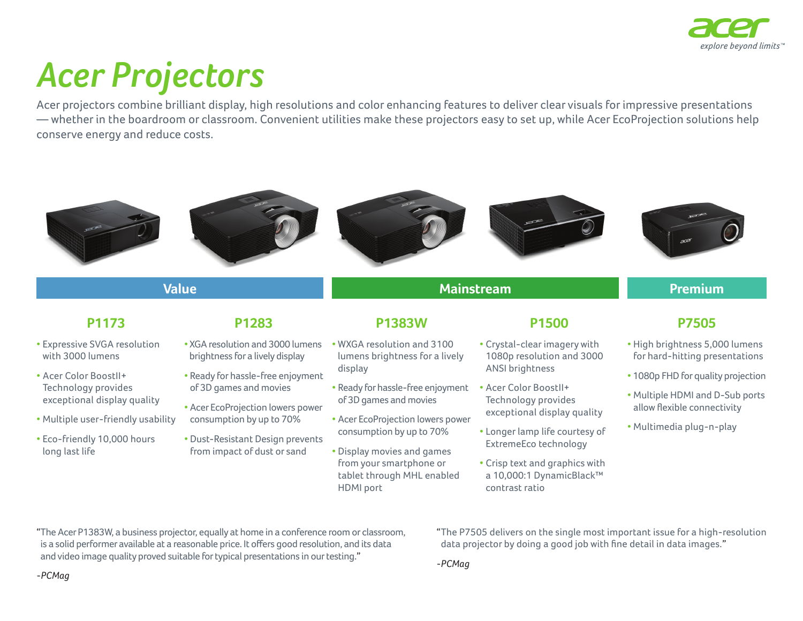

## *Acer Projectors*

Acer projectors combine brilliant display, high resolutions and color enhancing features to deliver clear visuals for impressive presentations — whether in the boardroom or classroom. Convenient utilities make these projectors easy to set up, while Acer EcoProjection solutions help conserve energy and reduce costs.



is a solid performer available at a reasonable price. It offers good resolution, and its data and video image quality proved suitable for typical presentations in our testing."

data projector by doing a good job with fine detail in data images."

*-PCMag*

*-PCMag*